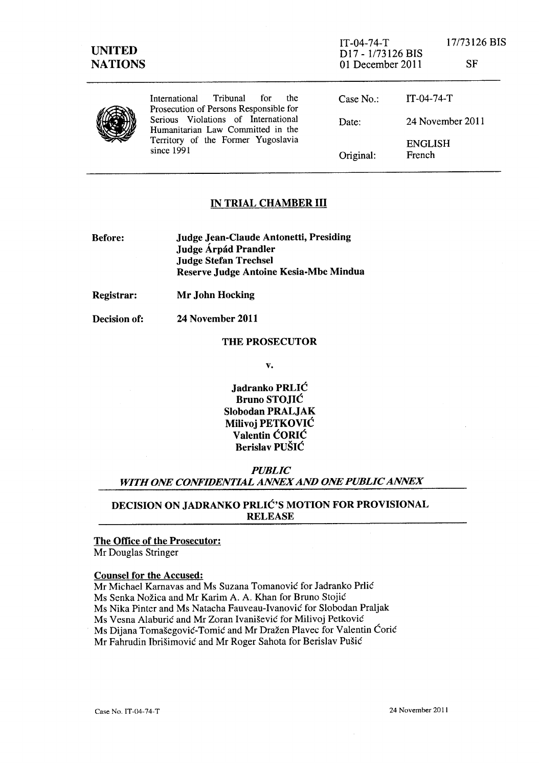| <b>UNITED</b><br><b>NATIONS</b> |                                                                                                                                                                                                                      | $IT-04-74-T$<br>D <sub>17</sub> - 1/73126 BIS<br>01 December 2011 |                          | 17/73126 BIS<br>SF |
|---------------------------------|----------------------------------------------------------------------------------------------------------------------------------------------------------------------------------------------------------------------|-------------------------------------------------------------------|--------------------------|--------------------|
|                                 | Tribunal<br>the.<br>International<br>for<br>Prosecution of Persons Responsible for<br>Serious Violations of International<br>Humanitarian Law Committed in the<br>Territory of the Former Yugoslavia<br>since $1991$ | Case No.                                                          | $IT-04-74-T$             |                    |
|                                 |                                                                                                                                                                                                                      | Date:                                                             | 24 November 2011         |                    |
|                                 |                                                                                                                                                                                                                      | Original:                                                         | <b>ENGLISH</b><br>French |                    |

### IN TRIAL CHAMBER III

Before:

Judge Jean-Claude Antonetti, Presiding Judge Árpád Prandler Judge Stefan Trechsel Reserve Judge Antoine Kesia-Mbe Mindua

Registrar:

Mr John Hocking

Decision of:

24 November 2011

#### THE PROSECUTOR

v.

Jadranko PRLIC Bruno STOJIC Slobodan PRALJAK Milivoj PETKOVIC Valentin CORIC Berislav PUSIC

*PUBLIC WITH ONE CONFIDENTIAL ANNEX AND ONE PUBLIC ANNEX* 

## DECISION ON JADRANKO PRLIC'S MOTION FOR PROVISIONAL RELEASE

## The Office of the Prosecutor:

Mr Douglas Stringer

#### Counsel for the Accused:

Mr Michael Kamavas and Ms Suzana Tomanovic for ladranko Prlic Ms Senka Nozica and Mr Karim A. A. Khan for Bruno Stojic Ms Nika Pinter and Ms Natacha Fauveau-Ivanovic for Slobodan Praljak Ms Vesna Alaburic and Mr Zoran Ivanisevic for Milivoj Petkovic Ms Dijana Tomasegovic-Tomic and Mr Drazen Plavec for Valentin Coric Mr Fahrudin Ibrisimovic and Mr Roger Sahota for Berislav Pusic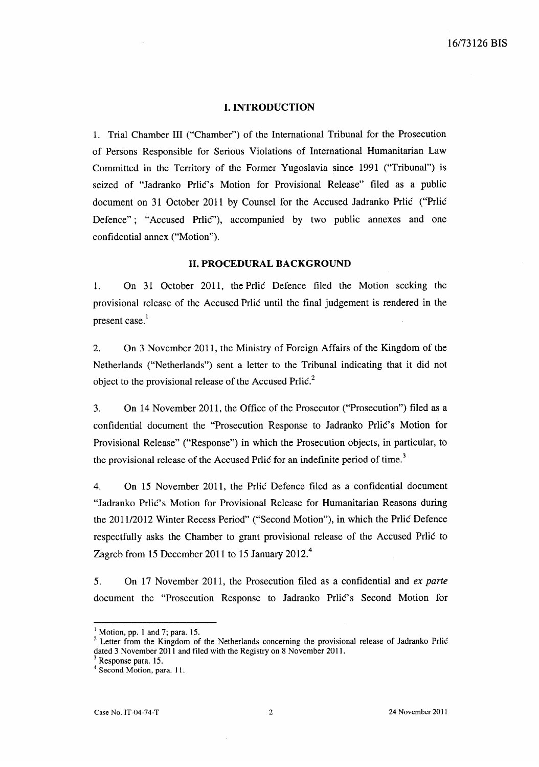#### **I. INTRODUCTION**

1. Trial Chamber III ("Chamber") of the International Tribunal for the Prosecution of Persons Responsible for Serious Violations of International Humanitarian Law Committed in the Territory of the Former Yugoslavia since 1991 ("Tribunal") is seized of "Jadranko Prlic's Motion for Provisional Release" filed as a public document on 31 October 2011 by Counsel for the Accused Jadranko Prlic ("Prlic Defence"; "Accused Prlic"), accompanied by two public annexes and one confidential annex ("Motion").

#### **11. PROCEDURAL BACKGROUND**

1. On 31 October 2011, the Prlic Defence filed the Motion seeking the provisional release of the Accused Prlic until the final judgement is rendered in the present case. l

2. On 3 November 2011, the Ministry of Foreign Affairs of the Kingdom of the Netherlands ("Netherlands") sent a letter to the Tribunal indicating that it did not object to the provisional release of the Accused Prlic.<sup>2</sup>

3. On 14 November 2011, the Office of the Prosecutor ("Prosecution") filed as a confidential document the "Prosecution Response to Jadranko Prlić's Motion for Provisional Release" ("Response") in which the Prosecution objects, in particular, to the provisional release of the Accused Prlic for an indefinite period of time.<sup>3</sup>

4. On 15 November 2011, the Prlic Defence filed as a confidential document "Jadranko Prlic's Motion for Provisional Release for Humanitarian Reasons during the 201112012 Winter Recess Period" ("Second Motion"), in which the Prlic Defence respectfully asks the Chamber to grant provisional release of the Accused Prlic to Zagreb from 15 December 2011 to 15 January 2012.<sup>4</sup>

5. On 17 November 2011, the Prosecution filed as a confidential and *ex parte*  document the "Prosecution Response to Jadranko Prlic's Second Motion for

 $<sup>1</sup>$  Motion, pp. 1 and 7; para. 15.</sup>

<sup>&</sup>lt;sup>2</sup> Letter from the Kingdom of the Netherlands concerning the provisional release of Jadranko Prlic dated 3 November 2011 and filed with the Registry on 8 November 2011.

Response para. 15.

<sup>4</sup> Second Motion, para. I I.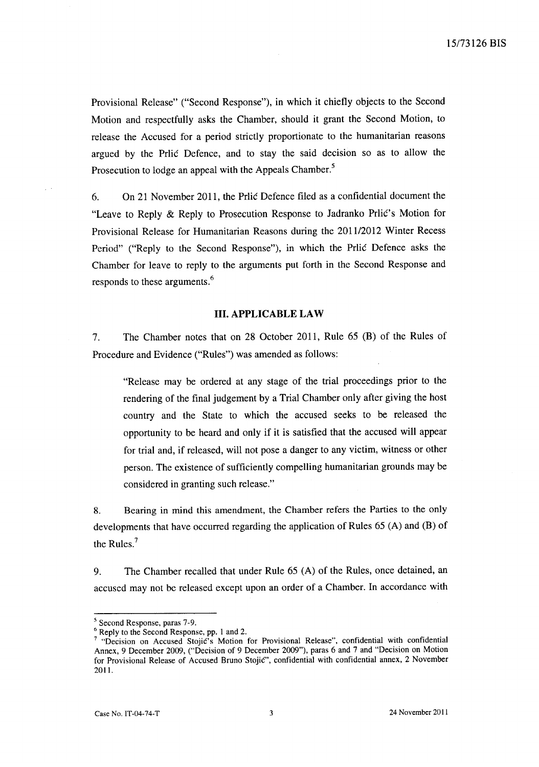Provisional Release" ("Second Response"), in which it chiefly objects to the Second Motion and respectfully asks the Chamber, should it grant the Second Motion, to release the Accused for a period strictly proportionate to the humanitarian reasons argued by the Prlic Defence, and to stay the said decision so as to allow the Prosecution to lodge an appeal with the Appeals Chamber.<sup>5</sup>

6. On 21 November 2011, the Prlic Defence filed as a confidential document the "Leave to Reply & Reply to Prosecution Response to Jadranko Prlic's Motion for Provisional Release for Humanitarian Reasons during the 201112012 Winter Recess Period" ("Reply to the Second Response"), in which the Prlic Defence asks the Chamber for leave to reply to the arguments put forth in the Second Response and responds to these arguments.<sup>6</sup>

#### **Ill. APPLICABLE LAW**

7. The Chamber notes that on 28 October 2011, Rule 65 (B) of the Rules of Procedure and Evidence ("Rules") was amended as follows:

"Release may be ordered at any stage of the trial proceedings prior to the rendering of the final judgement by a Trial Chamber only after giving the host country and the State to which the accused seeks to be released the opportunity to be heard and only if it is satisfied that the accused will appear for trial and, if released, will not pose a danger to any victim, witness or other person. The existence of sufficiently compelling humanitarian grounds may be considered in granting such release."

8. Bearing in mind this amendment, the Chamber refers the Parties to the only developments that have occurred regarding the application of Rules 65 (A) and (B) of the Rules.?

9. The Chamber recalled that under Rule 65 (A) of the Rules, once detained, an accused may not be released except upon an order of a Chamber. In accordance with

<sup>5</sup> Second Response, paras 7-9.

<sup>6</sup> Reply to the Second Response, pp. 1 and 2.

 $7$  "Decision on Accused Stojic's Motion for Provisional Release", confidential with confidential Annex, 9 December 2009, ("Decision of 9 December 2009"), paras 6 and 7 and "Decision on Motion for Provisional Release of Accused Bruno Stojic", confidential with confidential annex, 2 November 2011.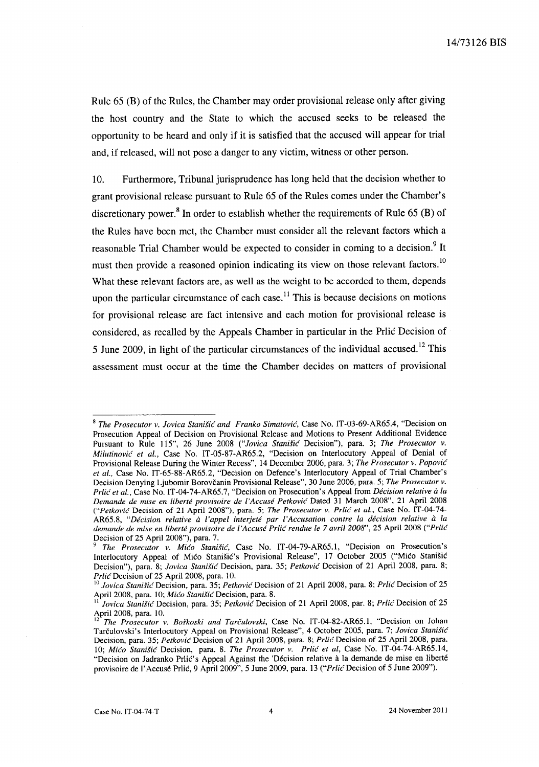Rule 65 (B) of the Rules, the Chamber may order provisional release only after giving the host country and the State to which the accused seeks to be released the opportunity to be heard and only if it is satisfied that the accused will appear for trial and, if released, will not pose a danger to any victim, witness or other person.

10. Furthermore, Tribunal jurisprudence has long held that the decision whether to grant provisional release pursuant to Rule 65 of the Rules comes under the Chamber's discretionary power.<sup>8</sup> In order to establish whether the requirements of Rule 65 (B) of the Rules have been met, the Chamber must consider all the relevant factors which a reasonable Trial Chamber would be expected to consider in coming to a decision.<sup>9</sup> It must then provide a reasoned opinion indicating its view on those relevant factors.<sup>10</sup> What these relevant factors are, as well as the weight to be accorded to them, depends upon the particular circumstance of each case.<sup>11</sup> This is because decisions on motions for provisional release are fact intensive and each motion for provisional release is considered, as recalled by the Appeals Chamber in particular in the Prlic Decision of 5 June 2009, in light of the particular circumstances of the individual accused.!2 This assessment must occur at the time the Chamber decides on matters of provisional

<sup>8</sup>*The Prosecutor v. Jovica Stanific and Franko Simatovic,* Case No. IT-03-69-AR65.4, "Decision on Prosecution Appeal of Decision on Provisional Release and Motions to Present Additional Evidence Pursuant to Rule 115", 26 June 2008 *("Jovica Stanific* Decision"), para. 3; *The Prosecutor v. Milutinovic et al.,* Case No. IT -05-87-AR65.2, "Decision on Interlocutory Appeal of Denial of Provisional Release During the Winter Recess", 14 December 2006, para. 3; *The Prosecutor v. Popovic et al.,* Case No. IT-65-88-AR65.2, "Decision on Defence's Interlocutory Appeal of Trial Chamber's Decision Denying Ljubomir Borovčanin Provisional Release", 30 June 2006, para. 5; The Prosecutor v. *Prlic et aI.,* Case No. IT-04-74-AR65.7, "Decision on Prosecution's Appeal from *Decision relative a la Demande de mise en liberte provisoire de l'Accuse Petkovic* Dated 31 March 2008", 21 April200S *("Petkovic* Decision of 21 April 200S"), para. 5; *The Prosecutor v. Prlic et al.,* Case No. IT -04-74- AR65.S, *"Decision relative a I'appel interjete par l'Accusation contre la decision relative a la demande de mise en liberte provisoire de I 'Accuse Prlic rendue le* 7 *avril 2008",25* April 200S *("Prlic*  Decision of 25 April 2008"), para. 7.

*<sup>9</sup> The Prosecutor v. Mico Stanific,* Case No. IT-04-79-AR65.1, "Decision on Prosecution's Interlocutory Appeal of Mićo Stanišić's Provisional Release", 17 October 2005 ("Mićo Stanišić Decision"), para. 8; *Jovica Stanific* Decision, para. 35; *Petkovic* Decision of 21 April 2008, para. 8; *Pr/ic* Decision of 25 April 2008, para. 10.

<sup>10</sup>*Jovica Stanific* Decision, para. 35; *Petkovic* Decision of 21 April 200S, para. 8; *Pr/ic* Decision of 25 April 200S, para. 10; *Mico Stanific* Decision, para. S.

<sup>11</sup>*Jovica Stanific* Decision, para. 35; *Petkovic* Decision of 21 April 2008, par. 8; *Prlic* Decision of 25 April 2008, para. 10.

<sup>12</sup>*The Prosecutor v. BoJkoski and Tarculovski,* Case No. IT-04-S2-AR65.1, "Decision on lohan Tarculovski's Interlocutory Appeal on Provisional Release", 4 October 2005, para. 7; *Jovica Stanific*  Decision, para. 35; *Petkovic* Decision of 21 April 200S, para. S; *Pr/ic* Decision of 25 April 200S, para. *10; Mico Stanific* Decision, para. S. *The Prosecutor v. Pr/ic et ai,* Case No. IT-04-74-AR65.14, "Decision on Jadranko Prlic's Appeal Against the 'Décision relative à la demande de mise en liberté provisoire de I' Accuse Prlic, 9 April 2009", 5 June 2009, para. 13 *("Prlic* Decision of 5 June 2009").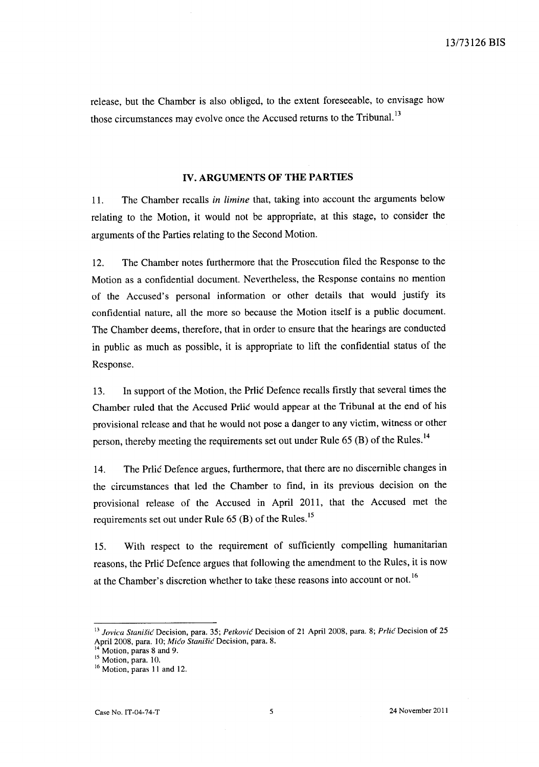release, but the Chamber is also obliged, to the extent foreseeable, to envisage how those circumstances may evolve once the Accused returns to the Tribunal.<sup>13</sup>

## **IV. ARGUMENTS OF THE PARTIES**

11. The Chamber recalls *in limine* that, taking into account the arguments below relating to the Motion, it would not be appropriate, at this stage, to consider the arguments of the Parties relating to the Second Motion.

12. The Chamber notes furthermore that the Prosecution filed the Response to the Motion as a confidential document. Nevertheless, the Response contains no mention of the Accused's personal information or other details that would justify its confidential nature, all the more so because the Motion itself is a public document. The Chamber deems, therefore, that in order to ensure that the hearings are conducted in public as much as possible, it is appropriate to lift the confidential status of the Response.

13. In support of the Motion, the Prlic Defence recalls firstly that several times the Chamber ruled that the Accused Prlic would appear at the Tribunal at the end of his provisional release and that he would not pose a danger to any victim, witness or other person, thereby meeting the requirements set out under Rule 65 (B) of the Rules.<sup>14</sup>

14. The Prlic Defence argues, furthermore, that there are no discernible changes in the circumstances that led the Chamber to find, in its previous decision on the provisional release of the Accused in April 2011, that the Accused met the requirements set out under Rule  $65$  (B) of the Rules.<sup>15</sup>

15. With respect to the requirement of sufficiently compelling humanitarian reasons, the Prlic Defence argues that following the amendment to the Rules, it is now at the Chamber's discretion whether to take these reasons into account or not.<sup>16</sup>

<sup>13</sup>*Jovica Stanisic* Decision, para. 35; *Petkovic* Decision of 21 April 2008, para. 8; *Prlic* Decision of 25 April 2008, para. 10; *Mico Stanisic* Decision, para. 8.

 $14$  Motion, paras 8 and 9.

 $15$  Motion, para. 10.

<sup>&</sup>lt;sup>16</sup> Motion, paras 11 and 12.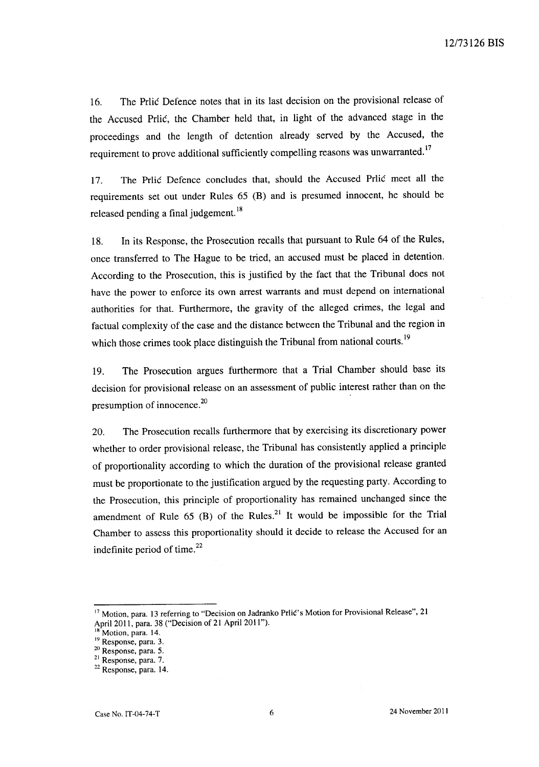16. The Prlic Defence notes that in its last decision on the provisional release of the Accused Prlic, the Chamber held that, in light of the advanced stage in the proceedings and the length of detention already served by the Accused, the requirement to prove additional sufficiently compelling reasons was unwarranted.<sup>17</sup>

17. The Prlic Defence concludes that, should the Accused Prlic meet all the requirements set out under Rules 65 (B) and is presumed innocent, he should be released pending a final judgement.<sup>18</sup>

18. In its Response, the Prosecution recalls that pursuant to Rule 64 of the Rules, once transferred to The Hague to be tried, an accused must be placed in detention. According to the Prosecution, this is justified by the fact that the Tribunal does not have the power to enforce its own arrest warrants and must depend on international authorities for that. Furthermore, the gravity of the alleged crimes, the legal and factual complexity of the case and the distance between the Tribunal and the region in which those crimes took place distinguish the Tribunal from national courts.<sup>19</sup>

19. The Prosecution argues furthermore that a Trial Chamber should base its decision for provisional release on an assessment of public interest rather than on the presumption of innocence. $20$ 

20. The Prosecution recalls furthermore that by exercising its discretionary power whether to order provisional release, the Tribunal has consistently applied a principle of proportionality according to which the duration of the provisional release granted must be proportionate to the justification argued by the requesting party. According to the Prosecution, this principle of proportionality has remained unchanged since the amendment of Rule  $65$  (B) of the Rules.<sup>21</sup> It would be impossible for the Trial Chamber to assess this proportionality should it decide to release the Accused for an indefinite period of time.<sup>22</sup>

<sup>&</sup>lt;sup>17</sup> Motion, para. 13 referring to "Decision on Jadranko Prlić's Motion for Provisional Release", 21 April 2011, para. 38 ("Decision of 21 April 2011").

Motion, para. 14.

<sup>19</sup> Response, para. 3.

<sup>20</sup> Response, para. 5.

<sup>21</sup> Response, para. 7.

<sup>22</sup> Response, para. 14.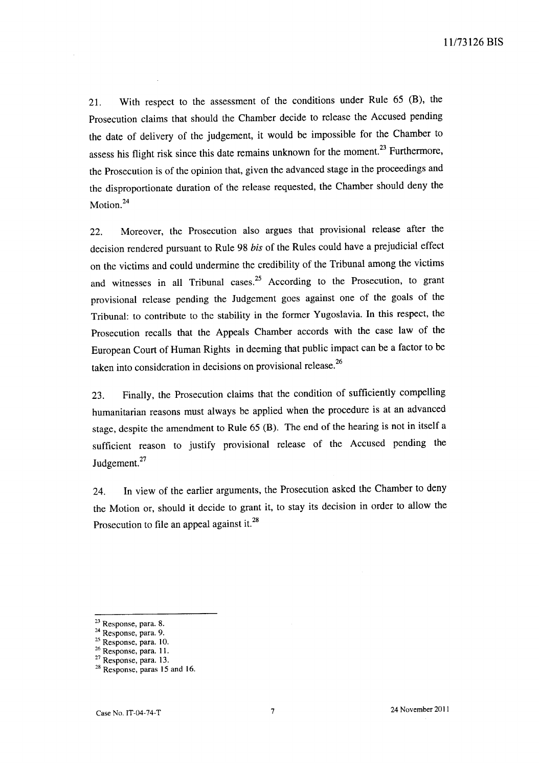21. With respect to the assessment of the conditions under Rule 65 (B), the Prosecution claims that should the Chamber decide to release the Accused pending the date of delivery of the judgement, it would be impossible for the Chamber to assess his flight risk since this date remains unknown for the moment.<sup>23</sup> Furthermore, the Prosecution is of the opinion that, given the advanced stage in the proceedings and the disproportionate duration of the release requested, the Chamber should deny the Motion.<sup>24</sup>

22. Moreover, the Prosecution also argues that provisional release after the decision rendered pursuant to Rule 98 *his* of the Rules could have a prejudicial effect on the victims and could undermine the credibility of the Tribunal among the victims and witnesses in all Tribunal cases.<sup>25</sup> According to the Prosecution, to grant provisional release pending the Judgement goes against one of the goals of the Tribunal: to contribute to the stability in the former Yugoslavia. In this respect, the Prosecution recalls that the Appeals Chamber accords with the case law of the European Court of Human Rights in deeming that public impact can be a factor to be taken into consideration in decisions on provisional release.<sup>26</sup>

23. Finally, the Prosecution claims that the condition of sufficiently compelling humanitarian reasons must always be applied when the procedure is at an advanced stage, despite the amendment to Rule 65 (B). The end of the hearing is not in itself a sufficient reason to justify provisional release of the Accused pending the Judgement.<sup>27</sup>

24. In view of the earlier arguments, the Prosecution asked the Chamber to deny the Motion or, should it decide to grant it, to stay its decision in order to allow the Prosecution to file an appeal against it.<sup>28</sup>

<sup>23</sup> Response, para. 8.

<sup>24</sup> Response, para. 9.

<sup>&</sup>lt;sup>25</sup> Response, para. 10.

 $26$  Response, para. 11.

<sup>27</sup> Response, para. 13.

<sup>&</sup>lt;sup>28</sup> Response, paras 15 and 16.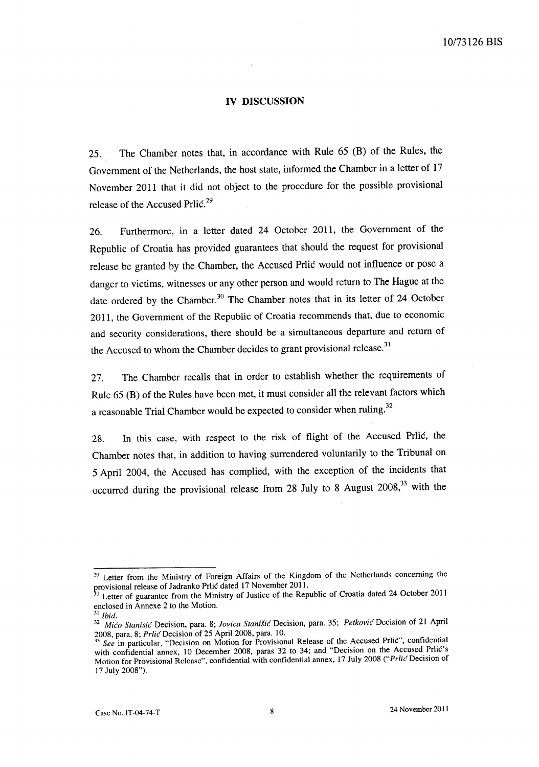## **IV DISCUSSION**

25. The Chamber notes that, in accordance with Rule 65 (B) of the Rules, the Government of the Netherlands, the host state, informed the Chamber in a letter of 17 November 2011 that it did not object to the procedure for the possible provisional release of the Accused Prlic.<sup>29</sup>

26. Furthermore, in a letter dated 24 October 2011, the Government of the Republic of Croatia has provided guarantees that should the request for provisional release be granted by the Chamber, the Accused Prlic would not influence or pose a danger to victims, witnesses or any other person and would return to The Hague at the date ordered by the Chamber.<sup>30</sup> The Chamber notes that in its letter of 24 October 2011, the Government of the Republic of Croatia recommends that, due to economic and security considerations, there should be a simultaneous departure and return of the Accused to whom the Chamber decides to grant provisional release.<sup>31</sup>

27. The Chamber recalls that in order to establish whether the requirements of Rule 65 (B) of the Rules have been met, it must consider all the relevant factors which a reasonable Trial Chamber would be expected to consider when ruling.<sup>32</sup>

28. In this case, with respect to the risk of flight of the Accused Prlic, the Chamber notes that, in addition to having surrendered voluntarily to the Tribunal on 5 April 2004, the Accused has complied, with the exception of the incidents that occurred during the provisional release from 28 July to 8 August  $2008$ ,  $33$  with the

<sup>&</sup>lt;sup>29</sup> Letter from the Ministry of Foreign Affairs of the Kingdom of the Netherlands concerning the provisional release of Jadranko Prlic dated 17 November 2011.

<sup>&</sup>lt;sup>30</sup> Letter of guarantee from the Ministry of Justice of the Republic of Croatia dated 24 October 2011 enclosed in Annexe 2 to the Motion.

 $31$ *Ibid.* 

*<sup>32</sup> Mico Stanisic* Decision, para. 8; *Jovica StaniSic* Decision, para. 35; *Petkovic* Decision of 21 April 2008, para. 8; Prlic Decision of 25 April 2008, para. 10.

<sup>&</sup>lt;sup>33</sup> See in particular, "Decision on Motion for Provisional Release of the Accused Prlic", confidential with confidential annex, 10 December 2008, paras 32 to 34; and "Decision on the Accused Prlić's Motion for Provisional Release", confidential with confidential annex, 17 July 2008 ("Prlic Decision of 17 July 2008").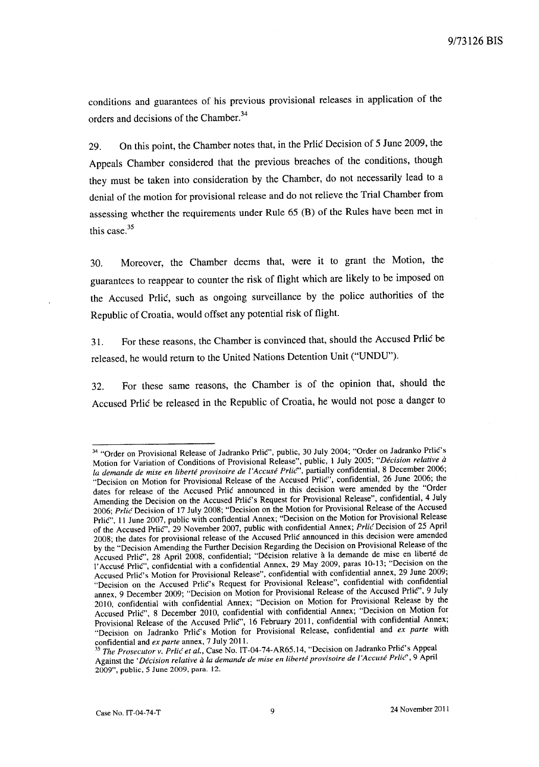conditions and guarantees of his previous provisional releases in application of the orders and decisions of the Chamber.<sup>34</sup>

29. On this point, the Chamber notes that, in the Prlic Decision of 5 June 2009, the Appeals Chamber considered that the previous breaches of the conditions, though they must be taken into consideration by the Chamber, do not necessarily lead to a denial of the motion for provisional release and do not relieve the Trial Chamber from assessing whether the requirements under Rule 65 (B) of the Rules have been met in this case. $35$ 

30. Moreover, the Chamber deems that, were it to grant the Motion, the guarantees to reappear to counter the risk of flight which are likely to be imposed on the Accused Prlić, such as ongoing surveillance by the police authorities of the Republic of Croatia, would offset any potential risk of flight.

31. For these reasons, the Chamber is convinced that, should the Accused Prlic be released, he would return to the United Nations Detention Unit ("UNDU").

32. For these same reasons, the Chamber is of the opinion that, should the Accused Prlic be released in the Republic of Croatia, he would not pose a danger to

<sup>&</sup>lt;sup>34</sup> "Order on Provisional Release of Jadranko Prlić", public, 30 July 2004; "Order on Jadranko Prlić's Motion for Variation of Conditions of Provisional Release", public, 1 July 2005; *"Decision relative* ii la demande de mise en liberté provisoire de l'Accusé Prlic<sup>o</sup>, partially confidential, 8 December 2006; "Decision on Motion for Provisional Release of the Accused Prlic", confidential, 26 June 2006; the dates for release of the Accused Prlic announced in this decision were amended by the "Order Amending the Decision on the Accused Prlic's Request for Provisional Release", confidential, 4 July *2006; Prlic* Decision of 17 July 2008; "Decision on the Motion for Provisional Release of the Accused Prlic", 11 June 2007, public with confidential Annex; "Decision on the Motion for Provisional Release of the Accused Prlic", 29 November 2007, public with confidential Annex; *PrlicDecision* of 25 April 2008; the dates for provisional release of the Accused Prlic announced in this decision were amended by the "Decision Amending the Further Decision Regarding the Decision on Provisional Release of the Accused Prlic", 28 April 2008, confidential; "Decision relative a la demande de mise en liberte de l'Accuse Prlic", confidential with a confidential Annex, 29 May 2009, paras 10-13; "Decision on the Accused Prlic's Motion for Provisional Release", confidential with confidential annex, 29 June 2009; "Decision on the Accused Prlic's Request for Provisional Release", confidential with confidential annex, 9 December 2009; "Decision on Motion for Provisional Release of the Accused Prlic", 9 July 2010, confidential with confidential Annex; "Decision on Motion for Provisional Release by the Accused Prlic", 8 December 2010, confidential with confidential Annex; "Decision on Motion for Provisional Release of the Accused Prlic", 16 February 2011, confidential with confidential Annex; "Decision on Jadranko PrliC's Motion for Provisional Release, confidential and *ex parte* with confidential and *ex parte* annex, 7 July 2011.

*<sup>35</sup> The Prosecutor v. Prlic et al.,* Case No. IT-04-74-AR65.14, "Decision on Jadranko Prlic's Appeal Against the *'Décision relative à la demande de mise en liberté provisoire de l'Accusé Prlic<sup>o</sup>, 9 April* 2009", public, 5 June 2009, para. 12.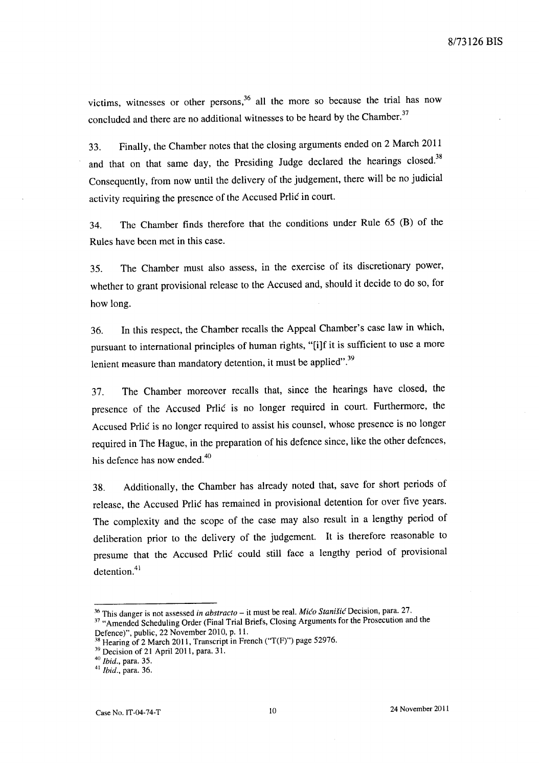victims, witnesses or other persons,<sup>36</sup> all the more so because the trial has now concluded and there are no additional witnesses to be heard by the Chamber.<sup>37</sup>

33. Finally, the Chamber notes that the closing arguments ended on 2 March 2011 and that on that same day, the Presiding Judge declared the hearings closed.<sup>38</sup> Consequently, from now until the delivery of the judgement, there will be no judicial activity requiring the presence of the Accused Prlic in court.

34. The Chamber finds therefore that the conditions under Rule 65 CB) of the Rules have been met in this case.

35. The Chamber must also assess, in the exercise of its discretionary power, whether to grant provisional release to the Accused and, should it decide to do so, for how long.

36. In this respect, the Chamber recalls the Appeal Chamber's case law in which, pursuant to international principles of human rights, "[i]f it is sufficient to use a more lenient measure than mandatory detention, it must be applied".<sup>39</sup>

37. The Chamber moreover recalls that, since the hearings have closed, the presence of the Accused Prlic is no longer required in court. Furthermore, the Accused Prlic is no longer required to assist his counsel, whose presence is no longer required in The Hague, in the preparation of his defence since, like the other defences, his defence has now ended.<sup>40</sup>

38. Additionally, the Chamber has already noted that, save for short periods of release, the Accused Prlic has remained in provisional detention for over five years. The complexity and the scope of the case may also result in a lengthy period of deliberation prior to the delivery of the judgement. It is therefore reasonable to presume that the Accused Prlic could still face a lengthy period of provisional detention.<sup>41</sup>

<sup>40</sup>*Ibid.,* para. 35.

<sup>&</sup>lt;sup>36</sup> This danger is not assessed *in abstracto* – it must be real. *Mićo Stanišić* Decision, para. 27.

<sup>&</sup>lt;sup>37</sup> "Amended Scheduling Order (Final Trial Briefs, Closing Arguments for the Prosecution and the Defence)", public, 22 November 2010, p. 11.

 $38$  Hearing of 2 March 2011, Transcript in French ("T(F)") page 52976.

<sup>&</sup>lt;sup>39</sup> Decision of 21 April 2011, para. 31.

<sup>41</sup>*Ibid.,* para. 36.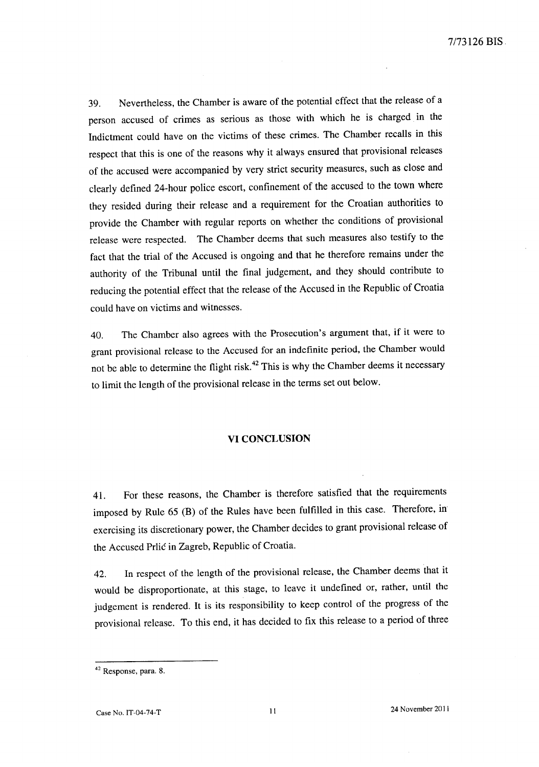39. Nevertheless, the Chamber is aware of the potential effect that the release of a person accused of crimes as serious as those with which he is charged in the Indictment could have on the victims of these crimes. The Chamber recalls in this respect that this is one of the reasons why it always ensured that provisional releases of the accused were accompanied by very strict security measures, such as close and clearly defined 24-hour police escort, confinement of the accused to the town where they resided during their release and a requirement for the Croatian authorities to provide the Chamber with regular reports on whether the conditions of provisional release were respected. The Chamber deems that such measures also testify to the fact that the trial of the Accused is ongoing and that he therefore remains under the authority of the Tribunal until the final judgement, and they should contribute to reducing the potential effect that the release of the Accused in the Republic of Croatia could have on victims and witnesses.

40. The Chamber also agrees with the Prosecution's argument that, if it were to grant provisional release to the Accused for an indefinite period, the Chamber would not be able to determine the flight risk.<sup>42</sup> This is why the Chamber deems it necessary to limit the length of the provisional release in the terms set out below.

#### **VI CONCLUSION**

41. For these reasons, the Chamber is therefore satisfied that the requirements imposed by Rule 65 (B) of the Rules have been fulfilled in this case. Therefore, in exercising its discretionary power, the Chamber decides to grant provisional release of the Accused Prlic in Zagreb, Republic of Croatia.

42. In respect of the length of the provisional release, the Chamber deems that it would be disproportionate, at this stage, to leave it undefined or, rather, until the judgement is rendered. It is its responsibility to keep control of the progress of the provisional release. To this end, it has decided to fix this release to a period of three

<sup>&</sup>lt;sup>42</sup> Response, para. 8.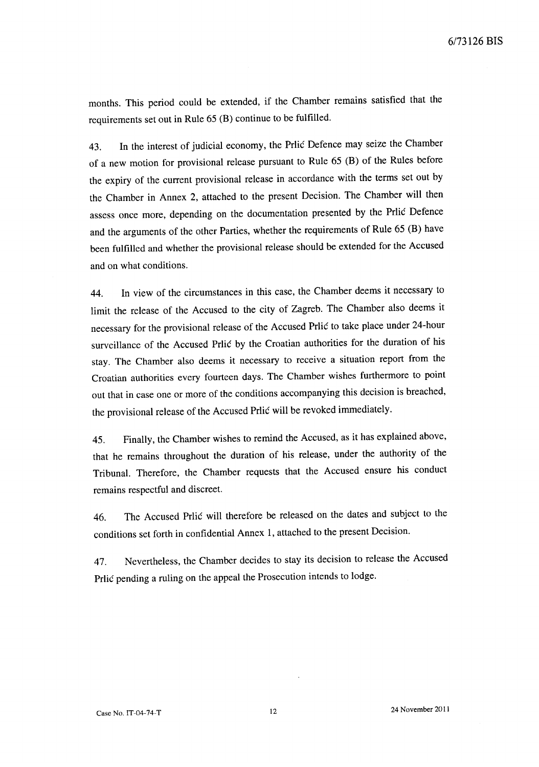months. This period could be extended, if the Chamber remains satisfied that the requirements set out in Rule 65 (B) continue to be fulfilled.

43. In the interest of judicial economy, the Prlic Defence may seize the Chamber of a new motion for provisional release pursuant to Rule 65 (B) of the Rules before the expiry of the current provisional release in accordance with the terms set out by the Chamber in Annex 2, attached to the present Decision. The Chamber will then assess once more, depending on the documentation presented by the Prlic Defence and the arguments of the other Parties, whether the requirements of Rule 65 (B) have been fulfilled and whether the provisional release should be extended for the Accused and on what conditions.

44. In view of the circumstances in this case, the Chamber deems it necessary to limit the release of the Accused to the city of Zagreb. The Chamber also deems it necessary for the provisional release of the Accused Prlic to take place under 24-hour surveillance of the Accused Prlic by the Croatian authorities for the duration of his stay. The Chamber also deems it necessary to receive a situation report from the Croatian authorities every fourteen days. The Chamber wishes furthermore to point out that in case one or more of the conditions accompanying this decision is breached, the provisional release of the Accused Prlic will be revoked immediately.

45. Finally, the Chamber wishes to remind the Accused, as it has explained above, that he remains throughout the duration of his release, under the authority of the Tribunal. Therefore, the Chamber requests that the Accused ensure his conduct remains respectful and discreet.

46. The Accused Prlic will therefore be released on the dates and subject to the conditions set forth in confidential Annex 1, attached to the present Decision.

47. Nevertheless, the Chamber decides to stay its decision to release the Accused Prlic pending a ruling on the appeal the Prosecution intends to lodge.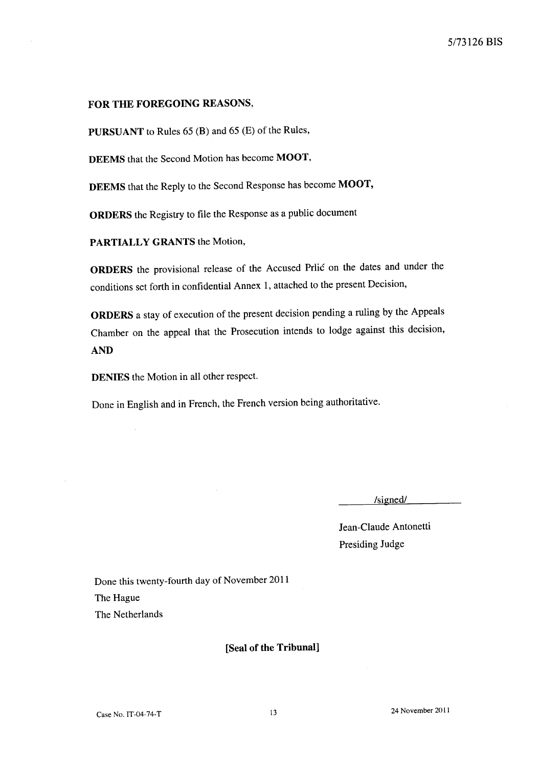## FOR THE FOREGOING REASONS,

PURSUANT to Rules 65 (B) and 65 (E) of the Rules,

DEEMS that the Second Motion has become MOOT,

DEEMS that the Reply to the Second Response has become MOOT,

ORDERS the Registry to file the Response as a public document

PARTIALLY GRANTS the Motion,

ORDERS the provisional release of the Accused Prlic on the dates and under the conditions set forth in confidential Annex 1, attached to the present Decision,

ORDERS a stay of execution of the present decision pending a ruling by the Appeals Chamber on the appeal that the Prosecution intends to lodge against this decision, AND

DENIES the Motion in all other respect.

Done in English and in French, the French version being authoritative.

/signed/

Jean-Claude Antonetti Presiding Judge

Done this twenty-fourth day of November 2011 The Hague The Netherlands

[Seal of the Tribunal]